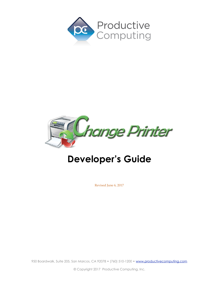



# **Developer's Guide**

Revised June 6, 2017

950 Boardwalk, Suite 205, San Marcos, CA 92078 • (760) 510-1200 • [www.productivecomputing.com](http://www.productivecomputing.com)

© Copyright 2017 Productive Computing, Inc.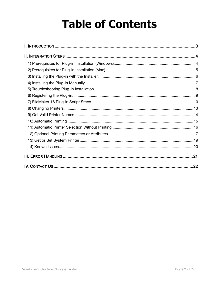# **Table of Contents**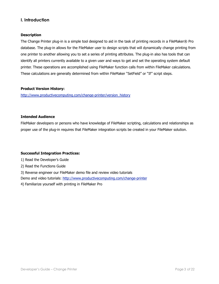#### <span id="page-2-0"></span>**I. Introduction**

#### **Description**

The Change Printer plug-in is a simple tool designed to aid in the task of printing records in a FileMaker® Pro database. The plug-in allows for the FileMaker user to design scripts that will dynamically change printing from one printer to another allowing you to set a series of printing attributes. The plug-in also has tools that can identify all printers currently available to a given user and ways to get and set the operating system default printer. These operations are accomplished using FileMaker function calls from within FileMaker calculations. These calculations are generally determined from within FileMaker "SetField" or "If" script steps.

#### **Product Version History:**

[http://www.productivecomputing.com/change-printer/version\\_history](http://www.productivecomputing.com/change-printer/version_history)

#### **Intended Audience**

FileMaker developers or persons who have knowledge of FileMaker scripting, calculations and relationships as proper use of the plug-in requires that FileMaker integration scripts be created in your FileMaker solution.

#### **Successful Integration Practices:**

1) Read the Developer's Guide

2) Read the Functions Guide

3) Reverse engineer our FileMaker demo file and review video tutorials

Demo and video tutorials:<http://www.productivecomputing.com/change-printer>

4) Familiarize yourself with printing in FileMaker Pro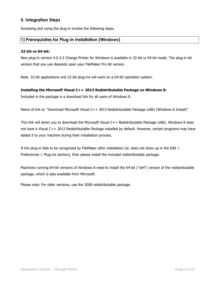#### <span id="page-3-0"></span>**II. Integration Steps**

Accessing and using the plug-in involve the following steps.

#### <span id="page-3-1"></span>**1) Prerequisites for Plug-in Installation (Windows)**

#### **32-bit vs 64-bit:**

New plug-in version 4.0.3.2 Change Printer for Windows is available in 32-bit or 64-bit mode. The plug-in bit version that you use depends upon your FileMaker Pro bit version.

Note: 32-bit applications and 32-bit plug-ins will work on a 64-bit operation system.

#### **Installing the Microsoft Visual C++ 2013 Redistributable Package on Windows 8:**

Included in the package is a download link for all users of Windows 8.

Name of link is: "Download Microsoft Visual C++ 2013 Redistributable Package (x86) (Windows 8 Install)"

This link will direct you to download the Microsoft Visual C++ Redistributable Package (x86). Windows 8 does not have a Visual C++ 2013 Redistributable Package installed by default. However, certain programs may have added it to your machine during their installation process.

If the plug-in fails to be recognized by FileMaker after installation (ie. does not show up in the Edit > Preferences > Plug-ins section), then please install the included redistributable package.

Machines running 64-bit versions of Windows 8 need to install the 64-bit ("x64") version of the redistributable package, which is also available from Microsoft.

Please note: For older versions, use the 2008 redistributable package.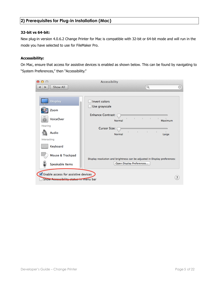#### <span id="page-4-0"></span>**2) Prerequisites for Plug-in Installation (Mac)**

#### **32-bit vs 64-bit:**

New plug-in version 4.0.6.2 Change Printer for Mac is compatible with 32-bit or 64-bit mode and will run in the mode you have selected to use for FileMaker Pro.

#### **Accessibility:**

On Mac, ensure that access for assistive devices is enabled as shown below. This can be found by navigating to "System Preferences," then "Accessibility."

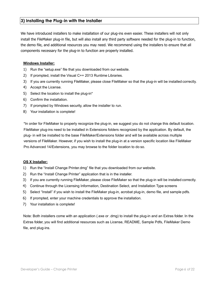#### <span id="page-5-0"></span>**3) Installing the Plug-in with the Installer**

We have introduced installers to make installation of our plug-ins even easier. These installers will not only install the FileMaker plug-in file, but will also install any third party software needed for the plug-in to function, the demo file, and additional resources you may need. We recommend using the installers to ensure that all components necessary for the plug-in to function are properly installed.

#### **Windows Installer:**

- 1) Run the "setup.exe" file that you downloaded from our website.
- 2) If prompted, install the Visual C++ 2013 Runtime Libraries.
- 3) If you are currently running FileMaker, please close FileMaker so that the plug-in will be installed correctly.
- 4) Accept the License.
- 5) Select the location to install the plug-in\*
- 6) Confirm the installation.
- 7) If prompted by Windows security, allow the installer to run.
- 8) Your installation is complete!

\*In order for FileMaker to properly recognize the plug-in, we suggest you do not change this default location. FileMaker plug-ins need to be installed in Extensions folders recognized by the application. By default, the plug- in will be installed to the base FileMaker/Extensions folder and will be available across multiple versions of FileMaker. However, if you wish to install the plug-in at a version specific location like FileMaker Pro Advanced 14/Extensions, you may browse to the folder location to do so.

#### **OS X Installer:**

- 1) Run the "Install Change Printer.dmg" file that you downloaded from our website.
- 2) Run the "Install Change Printer" application that is in the installer.
- 3) If you are currently running FileMaker, please close FileMaker so that the plug-in will be installed correctly.
- 4) Continue through the Licensing Information, Destination Select, and Installation Type screens
- 5) Select "Install" if you wish to install the FileMaker plug-in, acrobat plug-in, demo file, and sample pdfs.
- 6) If prompted, enter your machine credentials to approve the installation.
- 7) Your installation is complete!

Note: Both installers come with an application (.exe or .dmg) to install the plug-in and an Extras folder. In the Extras folder, you will find additional resources such as License, README, Sample Pdfs, FileMaker Demo file, and plug-ins.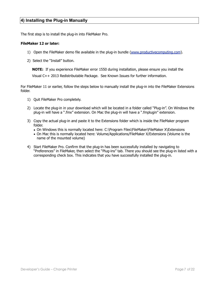#### <span id="page-6-0"></span>**4) Installing the Plug-in Manually**

The first step is to install the plug-in into FileMaker Pro.

#### **FileMaker 12 or later:**

- 1) Open the FileMaker demo file available in the plug-in bundle [\(www.productivecomputing.com](http://www.productivecomputing.com)).
- 2) Select the "Install" button.

**NOTE:** If you experience FileMaker error 1550 during installation, please ensure you install the

Visual C++ 2013 Redistributable Package. See Known Issues for further information.

For FileMaker 11 or earlier, follow the steps below to manually install the plug-in into the FileMaker Extensions folder.

- 1) Quit FileMaker Pro completely.
- 2) Locate the plug-in in your download which will be located in a folder called "Plug-in". On Windows the plug-in will have a ".fmx" extension. On Mac the plug-in will have a ".fmplugin" extension.
- 3) Copy the actual plug-in and paste it to the Extensions folder which is inside the FileMaker program folder.
	- On Windows this is normally located here: C:\Program Files\FileMaker\FileMaker X\Extensions
	- On Mac this is normally located here: Volume/Applications/FileMaker X/Extensions (Volume is the name of the mounted volume)
- 4) Start FileMaker Pro. Confirm that the plug-in has been successfully installed by navigating to "Preferences" in FileMaker, then select the "Plug-ins" tab. There you should see the plug-in listed with a corresponding check box. This indicates that you have successfully installed the plug-in.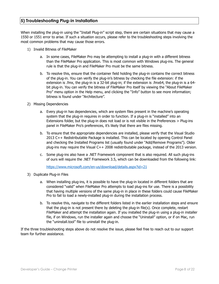#### <span id="page-7-0"></span>**5) Troubleshooting Plug-in Installation**

When installing the plug-in using the "Install Plug-in" script step, there are certain situations that may cause a 1550 or 1551 error to arise. If such a situation occurs, please refer to the troubleshooting steps involving the most common problems that may cause those errors.

- 1) Invalid Bitness of FileMaker
	- a. In some cases, FileMaker Pro may be attempting to install a plug-in with a different bitness than the FileMaker Pro application. This is most common with Windows plug-ins. The general rule is that the plug-in and FileMaker Pro must be the same bitness.
	- b. To resolve this, ensure that the container field holding the plug-in contains the correct bitness of the plug-in. You can verify the plug-in's bitness by checking the file extension: if the extension is .fmx, the plug-in is a 32-bit plug-in; if the extension is .fmx64, the plug-in is a 64 bit plug-in. You can verify the bitness of FileMaker Pro itself by viewing the "About FileMaker Pro" menu option in the Help menu, and clicking the "Info" button to see more information; bitness is found under "Architecture".
- 2) Missing Dependencies
	- a. Every plug-in has dependencies, which are system files present in the machine's operating system that the plug-in requires in order to function. If a plug-in is "installed" into an Extensions folder, but the plug-in does not load or is not visible in the Preferences > Plug-ins panel in FileMaker Pro's preferences, it's likely that there are files missing.
	- b. To ensure that the appropriate dependencies are installed, please verify that the Visual Studio 2013 C++ Redistributable Package is installed. This can be located by opening Control Panel and checking the Installed Programs list (usually found under "Add/Remove Programs"). Older plug-ins may require the Visual C++ 2008 redistributable package, instead of the 2013 version.
	- c. Some plug-ins also have a .NET Framework component that is also required. All such plug-ins of ours will require the .NET Framework 3.5, which can be downloaded from the following link:

<https://www.microsoft.com/en-us/download/details.aspx?id=21>

- 3) Duplicate Plug-in Files
	- a. When installing plug-ins, it is possible to have the plug-in located in different folders that are considered "valid" when FileMaker Pro attempts to load plug-ins for use. There is a possibility that having multiple versions of the same plug-in in place in these folders could cause FileMaker Pro to fail to load a newly-installed plug-in during the installation process.
	- b. To resolve this, navigate to the different folders listed in the earlier installation steps and ensure that the plug-in is not present there by deleting the plug-in file(s). Once complete, restart FileMaker and attempt the installation again. If you installed the plug-in using a plug-in installer file, if on Windows, run the installer again and choose the "Uninstall" option, or if on Mac, run the "uninstall.tool" file to uninstall the plug-in.

If the three troubleshooting steps above do not resolve the issue, please feel free to reach out to our support team for further assistance.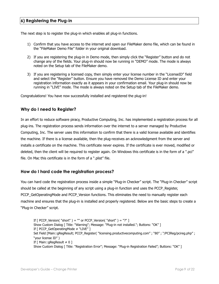#### <span id="page-8-0"></span>**6) Registering the Plug-in**

The next step is to register the plug-in which enables all plug-in functions.

- 1) Confirm that you have access to the internet and open our FileMaker demo file, which can be found in the "FileMaker Demo File" folder in your original download.
- 2) If you are registering the plug-in in Demo mode, then simply click the "Register" button and do not change any of the fields. Your plug-in should now be running in "DEMO" mode. The mode is always noted on the Setup tab of the FileMaker demo.
- 3) If you are registering a licensed copy, then simply enter your license number in the "LicenseID" field and select the "Register" button. Ensure you have removed the Demo License ID and enter your registration information exactly as it appears in your confirmation email. Your plug-in should now be running in "LIVE" mode. The mode is always noted on the Setup tab of the FileMaker demo.

Congratulations! You have now successfully installed and registered the plug-in!

#### **Why do I need to Register?**

In an effort to reduce software piracy, Productive Computing, Inc. has implemented a registration process for all plug-ins. The registration process sends information over the internet to a server managed by Productive Computing, Inc. The server uses this information to confirm that there is a valid license available and identifies the machine. If there is a license available, then the plug-receives an acknowledgment from the server and installs a certificate on the machine. This certificate never expires. If the certificate is ever moved, modified or deleted, then the client will be required to register again. On Windows this certificate is in the form of a ".pci" file. On Mac this certificate is in the form of a ".plist" file.

#### **How do I hard code the registration process?**

You can hard code the registration process inside a simple "Plug-in Checker" script. The "Plug-in Checker" script should be called at the beginning of any script using a plug-in function and uses the PCCP\_Register, PCCP\_GetOperatingMode and PCCP\_Version functions. This eliminates the need to manually register each machine and ensures that the plug-in is installed and properly registered. Below are the basic steps to create a "Plug-in Checker" script.

If  $\lceil$  PCCP\_Version( "short" ) = "" or PCCP\_Version( "short" ) = "?" ] Show Custom Dialog [ Title: "Warning"; Message: "Plug-in not installed."; Buttons: "OK" ] If [ PCCP\_GetOperatingMode ≠ "LIVE" ] Set Field [Main::gRegResult; PCCP\_Register( "licensing.productivecomputing.com" ; "80" ; "/PCIReg/pcireg.php" ; "your license ID" ) If  $\lceil$  Main::gRegResult  $\neq 0$  ] Show Custom Dialog [ Title: "Registration Error"; Message: "Plug-in Registration Failed"; Buttons: "OK" ]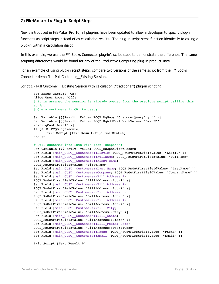#### <span id="page-9-0"></span>**7) FileMaker 16 Plug-in Script Steps**

Newly introduced in FileMaker Pro 16, all plug-ins have been updated to allow a developer to specify plug-in functions as script steps instead of as calculation results. The plug-in script steps function identically to calling a plug-in within a calculation dialog.

In this example, we use the FM Books Connector plug-in's script steps to demonstrate the difference. The same scripting differences would be found for any of the Productive Computing plug-in product lines.

For an example of using plug-in script steps, compare two versions of the same script from the FM Books Connector demo file: Pull Customer\_\_Existing Session.

```
Script 1 - Pull Customer__Existing Session with calculation ("traditional") plug-in scripting:
```

```
Set Error Capture [On]
Allow User Abort [Off]
# It is assumed the session is already opened from the previous script calling this
script.
# Query customers in QB (Request)
Set Variable [$$Result; Value: PCQB RqNew( "CustomerQuery" ; "" )]
Set Variable [$$Result; Value: PCQB RqAddFieldWithValue( "ListID" ;
Main::gCust_ListID )]
If [0 <> PCQB_RqExecute]
      Exit Script [Text Result:PCQB_SGetStatus]
End If
# Pull customer info into FileMaker (Response)
Set Variable [$$Result; Value: PCOB RsOpenFirstRecord]
Set Field [main CUST Customers::ListID; PCQB RsGetFirstFieldValue( "ListID" )]
Set Field [main CUST Customers::FullName; PCQB RsGetFirstFieldValue( "FullName" )]
Set Field [main_CUST_Customers::First Name;
PCQB RsGetFirstFieldValue( "FirstName" )]
Set Field [main_CUST__Customers::Last Name; PCQB_RsGetFirstFieldValue( "LastName" )]
Set Field [main_CUST__Customers::Company; PCQB_RsGetFirstFieldValue( "CompanyName" )]
Set Field [main CUST Customers::Bill Address 1;
PCQB_RsGetFirstFieldValue( "BillAddress::Addr1" )] 
Set Field [main CUST Customers::Bill Address 2;
PCQB_RsGetFirstFieldValue( "BillAddress::Addr2" )]
Set Field [main CUST Customers::Bill Address 3;
PCQB RsGetFirstFieldValue( "BillAddress::Addr3" )]
Set Field [main CUST Customers::Bill Address 4;
PCQB_RsGetFirstFieldValue( "BillAddress::Addr4" )]
Set Field [main CUST Customers::Bill City;
PCQB RsGetFirstFieldValue( "BillAddress::City" )]
Set Field [main_CUST__Customers::Bill_State; 
PCQB_RsGetFirstFieldValue( "BillAddress::State" )]
Set Field [main CUST Customers::Bill Postal Code;
PCQB RsGetFirstFieldValue( "BillAddress::PostalCode" )]
Set Field [main CUST Customers::Phone; PCQB RsGetFirstFieldValue( "Phone" )]
Set Field [main CUST Customers::Email; PCQB RsGetFirstFieldValue( "Email" )]
```
Exit Script [Text Result:0]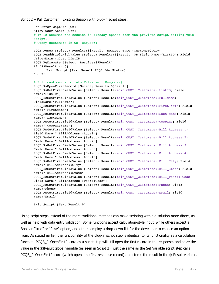```
Set Error Capture [On]
Allow User Abort [Off]
# It is assumed the session is already opened from the previous script calling this
script.
# Query customers in QB (Request)
PCQB RqNew [Select; Results:$$Result; Request Type:"CustomerQuery"]
PCQB RqAddFieldWithValue [Select; Results:$$Result; QB Field Name:"ListID"; Field
Value:Main::gCust_ListID]
PCQB RqExecute [Select; Results: $$Result]
If [$$Result <> 0]
       Exit Script [Text Result: PCQB SGetStatus]
End If
# Pull customer info into FileMaker (Response)
PCQB RsOpenFirstRecord [Select; Results:$$Result]
PCQB_RsGetFirstFieldValue [Select; Results:main_CUST__Customers::ListID; Field 
Name:"ListID"] 
PCQB_RsGetFirstFieldValue [Select; Results:main_CUST__Customers::FullName;
FieldName:"FullName"]
PCQB RsGetFirstFieldValue [Select; Results:main CUST__Customers::First Name; Field
Name:" FirstName"]
PCQB_RsGetFirstFieldValue [Select; Results:main_CUST__Customers::Last Name; Field 
Name:" LastName"]
PCQB RsGetFirstFieldValue [Select; Results:main CUST_Customers::Company; Field
Name:" CompanyName"]
PCQB RsGetFirstFieldValue [Select; Results:main CUST_Customers::Bill Address 1;
Field Name:" BillAddress::Addr1"]
PCQB RsGetFirstFieldValue [Select; Results:main_CUST__Customers::Bill_Address 2;
Field Name:" BillAddress::Addr2"]
PCQB RsGetFirstFieldValue [Select; Results:main CUST_Customers::Bill Address 3;
Field Name:" BillAddress::Addr3"]
PCQB RsGetFirstFieldValue [Select; Results:main CUST_Customers::Bill Address 4;
Field Name:" BillAddress::Addr4"]
PCQB_RsGetFirstFieldValue [Select; Results:main_CUST__Customers::Bill_City; Field 
Name:" BillAddress::City"]
PCQB RsGetFirstFieldValue [Select; Results:main CUST_Customers::Bill State; Field
Name:" BillAddress::State"]
PCQB RsGetFirstFieldValue [Select; Results:main CUST__Customers::Bill_Postal Code;
Field Name:" BillAddress::PostalCode"]
PCQB_RsGetFirstFieldValue [Select; Results:main_CUST__Customers::Phone; Field 
Name:"Phone"]
PCQB RsGetFirstFieldValue [Select; Results:main CUST__Customers::Email; Field
Name:"Email"]
Exit Script [Text Result:0]
```
Using script steps instead of the more traditional methods can make scripting within a solution more direct, as well as help with data entry validation. Some functions accept calculation-style input, while others accept a Boolean "true" or "false" option, and others employ a drop-down list for the developer to choose an option from. As stated earlier, the functionality of the plug-in script step is identical to its functionality as a calculation function; PCQB\_RsOpenFirstRecord as a script step will still open the first record in the response, and store the value in the \$\$Result global variable (as seen in Script 2), just the same as the Set Variable script step calls PCQB RsOpenFirstRecord (which opens the first response record) and stores the result in the \$\$Result variable.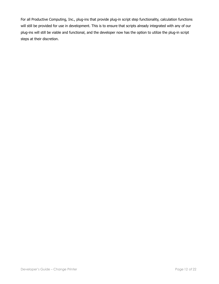For all Productive Computing, Inc., plug-ins that provide plug-in script step functionality, calculation functions will still be provided for use in development. This is to ensure that scripts already integrated with any of our plug-ins will still be viable and functional, and the developer now has the option to utilize the plug-in script steps at their discretion.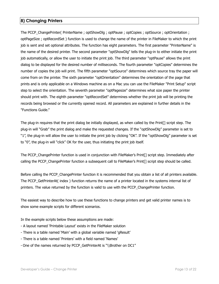#### <span id="page-12-0"></span>**8) Changing Printers**

The PCCP ChangePrinter( PrinterName ; optShowDlg ; optPause ; optCopies ; optSource ; optOrientation ; optPageSize ; optRecordSet ) function is used to change the name of the printer in FileMaker to which the print job is sent and set optional attributes. The function has eight parameters. The first parameter "PrinterName" is the name of the desired printer. The second parameter "optShowDlg" tells the plug-in to either initiate the print job automatically, or allow the user to initiate the print job. The third parameter "optPause" allows the print dialog to be displayed for the desired number of milliseconds. The fourth parameter "optCopies" determines the number of copies the job will print. The fifth parameter "optSource" determines which source tray the paper will come from on the printer. The sixth parameter "optOrientation" determines the orientation of the page that prints and is only applicable on a Windows machine as on a Mac you can use the FileMaker "Print Setup" script step to select the orientation. The seventh parameter "optPagesize" determines what size paper the printer should print with. The eighth parameter "optRecordSet" determines whether the print job will be printing the records being browsed or the currently opened record. All parameters are explained in further details in the "Functions Guide."

The plug-in requires that the print dialog be initially displayed, as when called by the Print[] script step. The plug-in will "Grab" the print dialog and make the requested changes. If the "optShowDlg" parameter is set to "1", the plug-in will allow the user to initiate the print job by clicking "OK". If the "optShowDlg" parameter is set to "0", the plug-in will "click" OK for the user, thus initiating the print job itself.

The PCCP\_ChangePrinter function is used in conjunction with FileMaker's Print[] script step. Immediately after calling the PCCP\_ChangePrinter function a subsequent call to FileMaker's Print[] script step should be called.

Before calling the PCCP ChangePrinter function it is recommended that you obtain a list of all printers available. The PCCP GetPrinterAt( index ) function returns the name of a printer located in the systems internal list of printers. The value returned by the function is valid to use with the PCCP\_ChangePrinter function.

The easiest way to describe how to use these functions to change printers and get valid printer names is to show some example scripts for different scenarios.

In the example scripts below these assumptions are made:

- A layout named 'Printable Layout' exists in the FileMaker solution
- There is a table named 'Main' with a global variable named 'gResult'
- There is a table named 'Printers' with a field named 'Names'
- One of the names returned by PCCP\_GetPrinterAt is "\\Brother on DC1"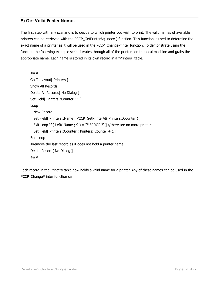#### <span id="page-13-0"></span>**9) Get Valid Printer Names**

The first step with any scenario is to decide to which printer you wish to print. The valid names of available printers can be retrieved with the PCCP\_GetPrinterAt( index ) function. This function is used to determine the exact name of a printer as it will be used in the PCCP\_ChangePrinter function. To demonstrate using the function the following example script iterates through all of the printers on the local machine and grabs the appropriate name. Each name is stored in its own record in a "Printers" table.

```
### 
Go To Layout[ Printers ] 
Show All Records 
Delete All Records[ No Dialog ] 
Set Field[ Printers::Counter ; 1 ]
Loop 
   New Record 
  Set Field[ Printers::Name ; PCCP_GetPrinterAt( Printers::Counter ) ]
  Exit Loop If \lceil Left( Name ; 9 ) = "!!ERROR!!" \rceil //there are no more printers
  Set Field [ Printers:: Counter ; Printers:: Counter + 1 ]
End Loop 
#remove the last record as it does not hold a printer name 
Delete Record<sub>[</sub> No Dialog ]
###
```
Each record in the Printers table now holds a valid name for a printer. Any of these names can be used in the PCCP\_ChangePrinter function call.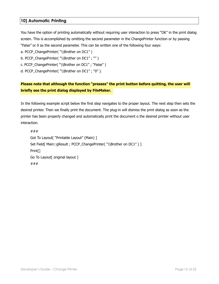#### <span id="page-14-0"></span>**10) Automatic Printing**

You have the option of printing automatically without requiring user interaction to press "OK" in the print dialog screen. This is accomplished by omitting the second parameter in the ChangePrinter function or by passing "False" or 0 as the second parameter. This can be written one of the following four ways:

a. PCCP ChangePrinter( "\\Brother on DC1" )

b. PCCP ChangePrinter( "\\Brother on DC1" ; "" )

c. PCCP\_ChangePrinter( "\\Brother on DC1" ; "False" )

d. PCCP\_ChangePrinter( "\\Brother on DC1" ; "0").

#### **Please note that although the function "presses" the print button before quitting, the user will briefly see the print dialog displayed by FileMaker.**

In the following example script below the first step navigates to the proper layout. The next step then sets the desired printer. Then we finally print the document. The plug-in will dismiss the print dialog as soon as the printer has been properly changed and automatically print the document o the desired printer without user interaction.

### Got To Layout[ "Printable Layout" (Main) ] Set Field[ Main::gResult ; PCCP ChangePrinter( "\\Brother on DC1" ) ] Print[] Go To Layout[ original layout ] ###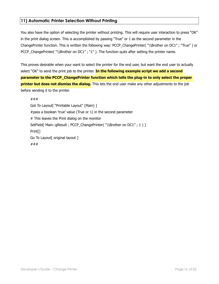#### <span id="page-15-0"></span>**11) Automatic Printer Selection Without Printing**

You also have the option of selecting the printer without printing. This will require user interaction to press "OK" in the print dialog screen. This is accomplished by passing "True" or 1 as the second parameter in the ChangePrinter function. This is written the following way: PCCP\_ChangePrinter( "\\Brother on DC1" ; "True" ) or PCCP\_ChangePrinter( "\\Brother on DC1" ; "1" ). The function quits after setting the printer name.

This proves desirable when your want to select the printer for the end user, but want the end user to actually select "OK" to send the print job to the printer. **In the following example script we add a second parameter to the PCCP\_ChangePrinter function which tells the plug-in to only select the proper printer but does not dismiss the dialog.** This lets the end user make any other adjustments to the job before sending it to the printer.

###

Got To Layout[ "Printable Layout" (Main) ] #pass a boolean 'true' value (True or 1) in the second parameter # This leaves the Print dialog on the monitor SetField[ Main::gResult ; PCCP\_ChangePrinter( "\\Brother on DC1" ; 1 ) ] Print[] Go To Layout<sup>[</sup> original layout ] ###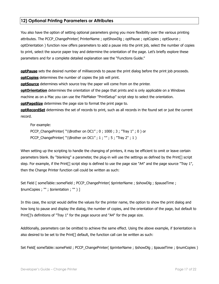#### <span id="page-16-0"></span>**12) Optional Printing Parameters or Attributes**

You also have the option of setting optional parameters giving you more flexibility over the various printing attributes. The PCCP\_ChangePrinter( PrinterName ; optShowDlg ; optPause ; optCopies ; optSource ; optOrientation ) function now offers parameters to add a pause into the print job, select the number of copies to print, select the source paper tray and determine the orientation of the page. Let's briefly explore these parameters and for a complete detailed explanation see the "Functions Guide."

**optPause** sets the desired number of milliseconds to pause the print dialog before the print job proceeds. **optCopies** determines the number of copies the job will print.

**optSource** determines which source tray the paper will come from on the printer.

**optOrientation** determines the orientation of the page that prints and is only applicable on a Windows machine as on a Mac you can use the FileMaker "PrintSetup" script step to select the orientation.

**optPageSize** determines the page size to format the print page to.

**optRecordSet** determines the set of records to print, such as all records in the found set or just the current record.

For example: PCCP ChangePrinter( "\\Brother on DC1" ; 0 ; 1000 ; 3 ; "Tray 1" ; 0 ) or PCCP\_ChangePrinter( "\\Brother on DC1" ; 1 ; "" ; 5 ; "Tray 2" ; 1 )

When setting up the scripting to handle the changing of printers, it may be efficient to omit or leave certain parameters blank. By "blanking" a parameter, the plug-in will use the settings as defined by the Print[] script step. For example, if the Print[] script step is defined to use the page size "A4" and the page source "Tray 1", then the Change Printer function call could be written as such:

Set Field [ someTable::someField ; PCCP\_ChangePrinter( \$printerName ; \$showDlg ; \$pauseTime ; \$numCopies ; "" ; \$orientation ; "" ) ]

In this case, the script would define the values for the printer name, the option to show the print dialog and how long to pause and display the dialog, the number of copies, and the orientation of the page, but default to Print[]'s definitions of "Tray 1" for the page source and "A4" for the page size.

Additionally, parameters can be omitted to achieve the same effect. Using the above example, if \$orientation is also desired to be set to the Print[] default, the function call can be written as such:

Set Field[ someTable::someField ; PCCP\_ChangePrinter( \$printerName ; \$showDlg ; \$pauseTime ; \$numCopies )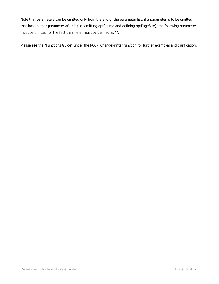Note that parameters can be omitted only from the end of the parameter list; if a parameter is to be omitted that has another parameter after it (i.e. omitting optSource and defining optPageSize), the following parameter must be omitted, or the first parameter must be defined as "".

Please see the "Functions Guide" under the PCCP\_ChangePrinter function for further examples and clarification.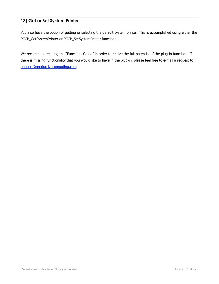#### <span id="page-18-0"></span>**13) Get or Set System Printer**

You also have the option of getting or selecting the default system printer. This is accomplished using either the PCCP\_GetSystemPrinter or PCCP\_SetSystemPrinter functions.

We recommend reading the "Functions Guide" in order to realize the full potential of the plug-in functions. If there is missing functionality that you would like to have in the plug-in, please feel free to e-mail a request to [support@productivecomputing.com](mailto:support@productivecomputing.co).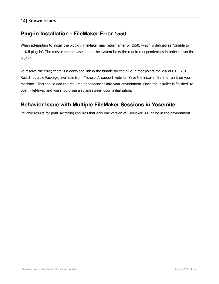## <span id="page-19-0"></span>**Plug-in Installation - FileMaker Error 1550**

When attempting to install the plug-in, FileMaker may return an error 1550, which is defined as "Unable to install plug-in". The most common case is that the system lacks the required dependencies in order to run the plug-in.

To resolve the error, there is a download link in the bundle for the plug-in that points the Visual C++ 2013 Redistributable Package, available from Microsoft's support website. Save the installer file and run it on your machine. This should add the required dependencies into your environment. Once the installer is finished, reopen FileMaker, and you should see a splash screen upon initialization.

## **Behavior Issue with Multiple FileMaker Sessions in Yosemite**

Reliable results for print switching requires that only one version of FileMaker is running in the environment.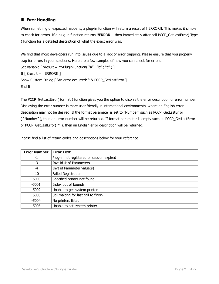#### <span id="page-20-0"></span>**III. Error Handling**

When something unexpected happens, a plug-in function will return a result of !!ERROR!!. This makes it simple to check for errors. If a plug-in function returns !!ERROR!!, then immediately after call PCCP\_GetLastError( Type ) function for a detailed description of what the exact error was.

We find that most developers run into issues due to a lack of error trapping. Please ensure that you properly trap for errors in your solutions. Here are a few samples of how you can check for errors. Set Variable  $\lceil$  \$result = MyPluginFunction( "a"; "b"; "c")  $\rceil$ If  $\lceil$  \$result = !!ERROR!!  $\rceil$ Show Custom Dialog [ "An error occurred: " & PCCP\_GetLastError ] End If

The PCCP\_GetLastError( format ) function gives you the option to display the error description or error number. Displaying the error number is more user friendly in international environments, where an English error description may not be desired. If the format parameter is set to "Number" such as PCCP\_GetLastError ( "Number" ), then an error number will be returned. If format parameter is empty such as PCCP\_GetLastError or PCCP\_GetLastError( "" ), then an English error description will be returned.

Please find a list of return codes and descriptions below for your reference.

| <b>Error Number</b> | <b>Error Text</b>                         |
|---------------------|-------------------------------------------|
| -1                  | Plug-in not registered or session expired |
| $-3$                | Invalid # of Parameters                   |
| -4                  | Invalid Parameter value(s)                |
| $-10$               | Failed Registration                       |
| $-5000$             | Specified printer not found               |
| $-5001$             | Index out of bounds                       |
| $-5002$             | Unable to get system printer              |
| $-5003$             | Still waiting for last call to finish     |
| $-5004$             | No printers listed                        |
| $-5005$             | Unable to set system printer              |